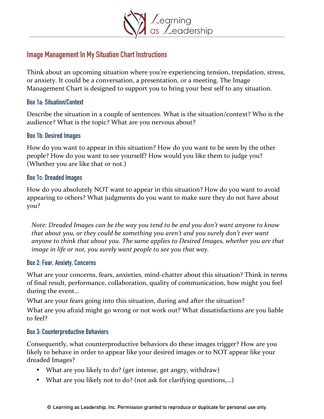

# **Image Management In My Situation Chart Instructions**

Think about an upcoming situation where you're experiencing tension, trepidation, stress, or anxiety. It could be a conversation, a presentation, or a meeting. The Image Management Chart is designed to support you to bring your best self to any situation.

#### **Box 1a: Situation/Context**

Describe the situation in a couple of sentences. What is the situation/context? Who is the audience? What is the topic? What are you nervous about?

### **Box 1b: Desired Images**

How do you want to appear in this situation? How do you want to be seen by the other people? How do you want to see yourself? How would you like them to judge you? (Whether you are like that or not.)

### **Box 1c: Dreaded Images**

How do you absolutely NOT want to appear in this situation? How do you want to avoid appearing to others? What judgments do you want to make sure they do not have about you?

*Note: Dreaded Images can be the way you tend to be and you don't want anyone to know that about you, or they could be something you aren't and you surely don't ever want* anyone to think that about you. The same applies to Desired Images, whether you are that *image in life* or not, you surely want people to see you that way.

### **Box 2: Fear, Anxiety, Concerns**

What are your concerns, fears, anxieties, mind-chatter about this situation? Think in terms of final result, performance, collaboration, quality of communication, how might you feel during the event...

What are your fears going into this situation, during and after the situation?

What are you afraid might go wrong or not work out? What dissatisfactions are you liable to feel?

### **Box 3: Counterproductive Behaviors**

Consequently, what counterproductive behaviors do these images trigger? How are you likely to behave in order to appear like your desired images or to NOT appear like your dreaded Images?

- What are you likely to do? (get intense, get angry, withdraw)
- What are you likely not to do? (not ask for clarifying questions,...)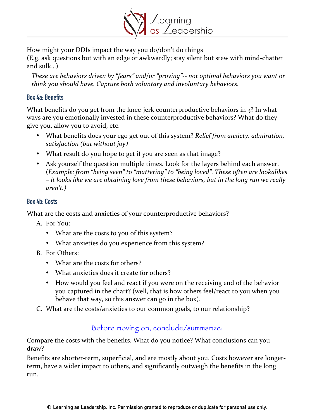

How might your DDIs impact the way you do/don't do things

(E.g. ask questions but with an edge or awkwardly; stay silent but stew with mind-chatter and sulk...)

*These are behaviors driven by "fears" and/or "proving"-- not optimal behaviors you want or think* you should have. Capture both voluntary and *involuntary behaviors.* 

# **Box 4a: Benefits**

What benefits do you get from the knee-jerk counterproductive behaviors in 3? In what ways are you emotionally invested in these counterproductive behaviors? What do they give you, allow you to avoid, etc.

- What benefits does your ego get out of this system? *Relief from anxiety, admiration,* satisfaction (but without joy)
- What result do you hope to get if you are seen as that image?
- Ask yourself the question multiple times. Look for the layers behind each answer. (*Example: from "being seen"* to "mattering" to "being loved". These often are lookalikes *–* it looks like we are obtaining love from these behaviors, but in the long run we really *aren't.)*

## **Box 4b: Costs**

What are the costs and anxieties of your counterproductive behaviors?

- A. For You:
	- What are the costs to you of this system?
	- What anxieties do you experience from this system?
- B. For Others:
	- What are the costs for others?
	- What anxieties does it create for others?
	- How would you feel and react if you were on the receiving end of the behavior you captured in the chart? (well, that is how others feel/react to you when you behave that way, so this answer can go in the box).
- C. What are the costs/anxieties to our common goals, to our relationship?

# Before moving on, conclude/summarize:

Compare the costs with the benefits. What do you notice? What conclusions can you draw?

Benefits are shorter-term, superficial, and are mostly about you. Costs however are longerterm, have a wider impact to others, and significantly outweigh the benefits in the long run.